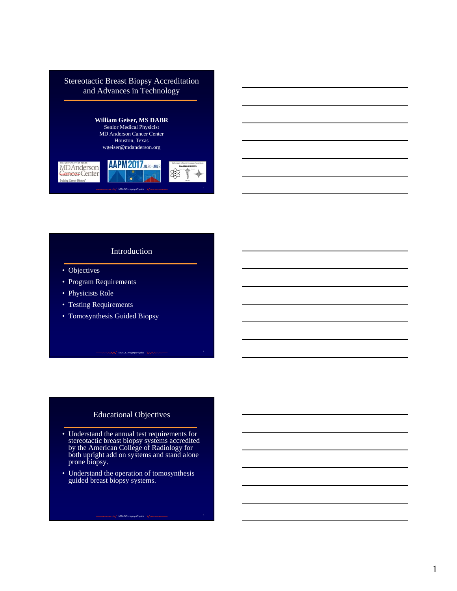

#### Introduction

- Objectives
- Program Requirements
- Physicists Role
- Testing Requirements
- Tomosynthesis Guided Biopsy

### Educational Objectives

*MDACC Imaging Physics* <sup>2</sup>

- Understand the annual test requirements for stereotactic breast biopsy systems accredited by the American College of Radiology for both upright add on systems and stand alone prone biopsy.
- Understand the operation of tomosynthesis guided breast biopsy systems.

**MDACC Imaging Physics** 3 **And Accounting the Contract of Contract Contract 3**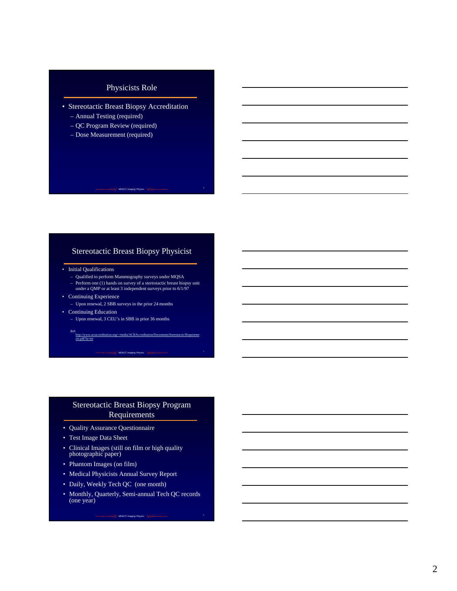# Physicists Role

- Stereotactic Breast Biopsy Accreditation
	- Annual Testing (required)
	- QC Program Review (required)
	- Dose Measurement (required)

### Stereotactic Breast Biopsy Physicist

**MDACC Imaging Physics**  $\sqrt{\sqrt{2\pi}}$ 

- Initial Qualifications
	- Qualified to perform Mammography surveys under MQSA
- Perform one (1) hands on survey of a stereotactic breast biopsy unit under a QMP or at least 3 independent surveys prior to 6/1/97 • Continuing Experience
- Upon renewal, 2 SBB surveys in the prior 24 months
- Continuing Education
	- Upon renewal, 3 CEU's in SBB in prior 36 months

Ref: http://www.acraccreditation.org/~/media/ACRAccreditation/Documents/Stereotactic/Requireme nts.pd

**MDACC Imaging Physics** 5 **Continuous** 1999 **Continuous** 

### Stereotactic Breast Biopsy Program Requirements

- Quality Assurance Questionnaire
- Test Image Data Sheet
- Clinical Images (still on film or high quality photographic paper)
- Phantom Images (on film)
- Medical Physicists Annual Survey Report
- Daily, Weekly Tech QC (one month)
- Monthly, Quarterly, Semi-annual Tech QC records (one year)

**MDACC Imaging Physics** 6 **Continuous** 1999 **Continuous**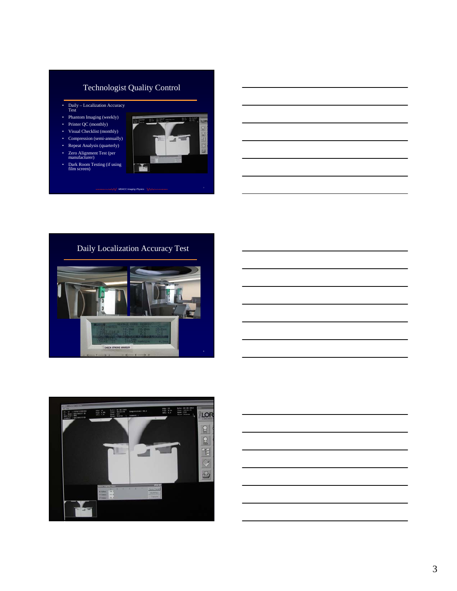# Technologist Quality Control

- Daily Localization Accuracy<br>Test
- Phantom Imaging (weekly)
- Printer QC (monthly)
- Visual Checklist (monthly) • Compression (semi-annually)
- Repeat Analysis (quarterly)
	-
- Zero Alignment Test (per manufacturer)
- Dark Room Testing (if using film screen)





 $\sim$ / MDACC Im





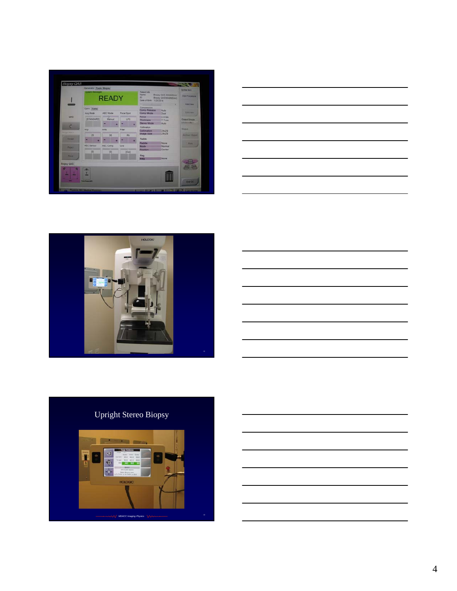| Generator Tools Bropsy<br><b>Lighting Service</b><br><b>System Mensages</b><br><b>Patentists</b><br>Name<br><b>Bingsy ISAS, MAAMADIAC</b><br><b>And Procedure</b><br><b>READY</b><br><b>ID</b><br><b>Bossy GAS MAMMOIAG</b><br>Date of Birth 1/28/2014<br><b>Continued by Continued Bank</b><br><b>ABSVAN</b><br>×<br>Compression<br>Conv Tomo<br>Comp Release<br><b>Auto</b><br><b>List Vans</b><br>Comp Mode<br><b>Acq Mode</b><br><b>AEC Mode</b><br><b>Focal Spot</b><br>Dual<br><b>IS</b><br>Force<br>0.0 lbs<br><b>QAS</b><br>ISTANDARDS<br>UFS.<br><b>Manual</b><br><b>Output Groups</b><br><b>Thickness</b><br>7.7 cm<br><b>SAFEKOSAK KULLA</b><br>Stereo Mode<br>Ains<br>ø. |
|--------------------------------------------------------------------------------------------------------------------------------------------------------------------------------------------------------------------------------------------------------------------------------------------------------------------------------------------------------------------------------------------------------------------------------------------------------------------------------------------------------------------------------------------------------------------------------------------------------------------------------------------------------------------------------------|
|                                                                                                                                                                                                                                                                                                                                                                                                                                                                                                                                                                                                                                                                                      |
|                                                                                                                                                                                                                                                                                                                                                                                                                                                                                                                                                                                                                                                                                      |
|                                                                                                                                                                                                                                                                                                                                                                                                                                                                                                                                                                                                                                                                                      |
|                                                                                                                                                                                                                                                                                                                                                                                                                                                                                                                                                                                                                                                                                      |
| Collegence                                                                                                                                                                                                                                                                                                                                                                                                                                                                                                                                                                                                                                                                           |
| <b>Dona</b><br>kVp<br>mAs<br>Filter<br>Collimation<br>24x29<br><b>Property Three</b>                                                                                                                                                                                                                                                                                                                                                                                                                                                                                                                                                                                                 |
| <b>Image Size</b><br>24x29<br><b>Antique   Enjoys</b><br>25<br>30<br><b>POL</b><br><b>ACCAST</b>                                                                                                                                                                                                                                                                                                                                                                                                                                                                                                                                                                                     |
| Paddie<br>None<br>Paddle<br><b>Pierre</b>                                                                                                                                                                                                                                                                                                                                                                                                                                                                                                                                                                                                                                            |
| <b>AEC Sensar</b><br><b>AEC Comp.</b><br>Ont<br>Normal<br>Mode                                                                                                                                                                                                                                                                                                                                                                                                                                                                                                                                                                                                                       |
| Carter<br>Poston<br><b>TOT</b><br>101<br><b>JOH!</b>                                                                                                                                                                                                                                                                                                                                                                                                                                                                                                                                                                                                                                 |
| <b>Mag</b><br>None<br>Mag                                                                                                                                                                                                                                                                                                                                                                                                                                                                                                                                                                                                                                                            |
| Begay QAS                                                                                                                                                                                                                                                                                                                                                                                                                                                                                                                                                                                                                                                                            |
| ۰<br>$-2-$                                                                                                                                                                                                                                                                                                                                                                                                                                                                                                                                                                                                                                                                           |
|                                                                                                                                                                                                                                                                                                                                                                                                                                                                                                                                                                                                                                                                                      |







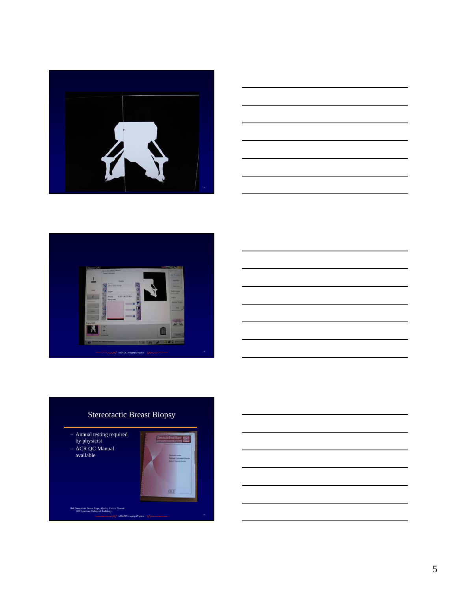





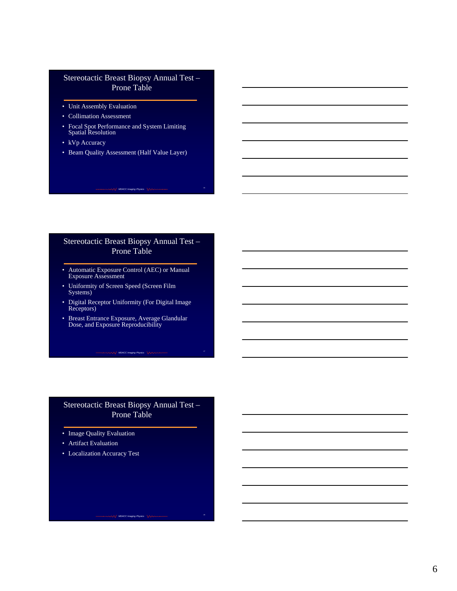### Stereotactic Breast Biopsy Annual Test – Prone Table

- Unit Assembly Evaluation
- Collimation Assessment
- Focal Spot Performance and System Limiting Spatial Resolution
- kVp Accuracy
- Beam Quality Assessment (Half Value Layer)

### Stereotactic Breast Biopsy Annual Test – Prone Table

**MDACC Imaging Physics** 16 **Annual Community** 16 **MDACC Imaging Physics** 16

- Automatic Exposure Control (AEC) or Manual Exposure Assessment
- Uniformity of Screen Speed (Screen Film Systems)
- Digital Receptor Uniformity (For Digital Image Receptors)
- Breast Entrance Exposure, Average Glandular Dose, and Exposure Reproducibility

**MDACC Imaging Phy** 

### Stereotactic Breast Biopsy Annual Test – Prone Table

*MDACC Imaging Physics* 18<br> **MDACC Imaging Physics** 18

- Image Quality Evaluation
- Artifact Evaluation
- Localization Accuracy Test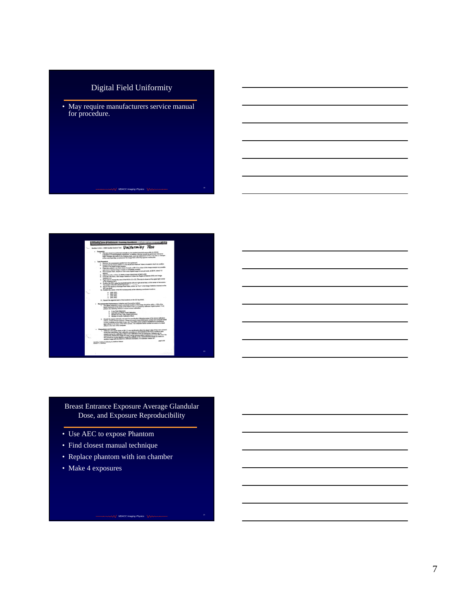# Digital Field Uniformity

• May require manufacturers service manual for procedure.

**MDACC Imaging Physics** 19<br>
19



Breast Entrance Exposure Average Glandular Dose, and Exposure Reproducibility

*MDACC Imaging Physics* 21 *CONSUMING 21* 

- Use AEC to expose Phantom
- Find closest manual technique
- Replace phantom with ion chamber
- Make 4 exposures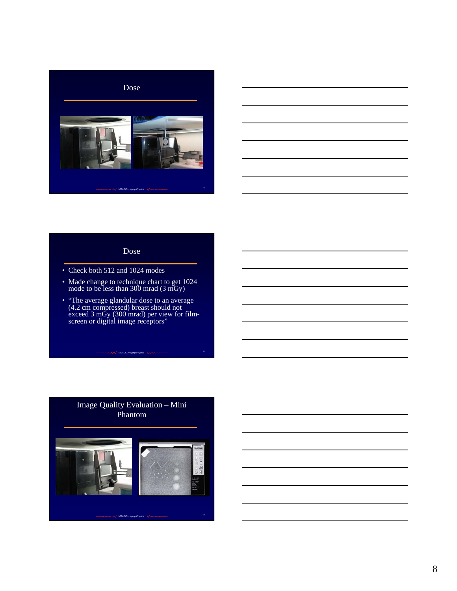



#### Dose

- Check both 512 and 1024 modes
- Made change to technique chart to get 1024 mode to be less than 300 mrad (3 mGy)
- "The average glandular dose to an average (4.2 cm compressed) breast should not exceed 3 mGy (300 mrad) per view for filmscreen or digital image receptors"

*MDACC Imaging Physics* <sup>23</sup>

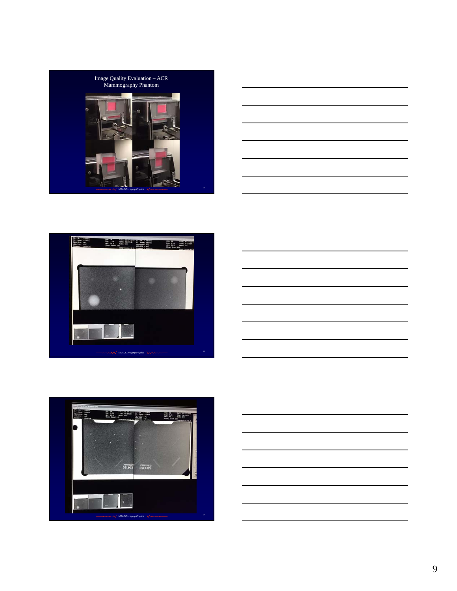









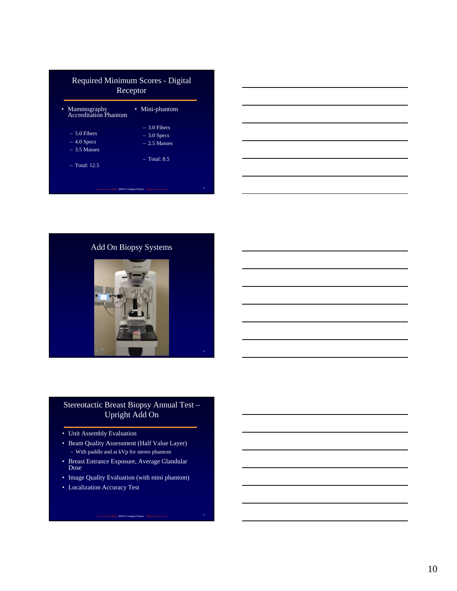| Required Minimum Scores - Digital<br>Receptor  |                                                |
|------------------------------------------------|------------------------------------------------|
| • Mammography<br><b>Accreditation Phantom</b>  | • Mini-phantom                                 |
| $-5.0$ Fibers<br>$-4.0$ Specs<br>$-3.5$ Masses | $-3.0$ Fibers<br>$-3.0$ Specs<br>$-2.5$ Masses |
| $-$ Total: 12.5                                | $-$ Total: 8.5                                 |



Add On Biopsy Systems



# Stereotactic Breast Biopsy Annual Test – Upright Add On

- Unit Assembly Evaluation
- Beam Quality Assessment (Half Value Layer) – With paddle and at kVp for stereo phantom
- Breast Entrance Exposure, Average Glandular Dose
- Image Quality Evaluation (with mini phantom)

**MDACC Imaging Physics** 30<br> **MDACC Imaging Physics** 30

• Localization Accuracy Test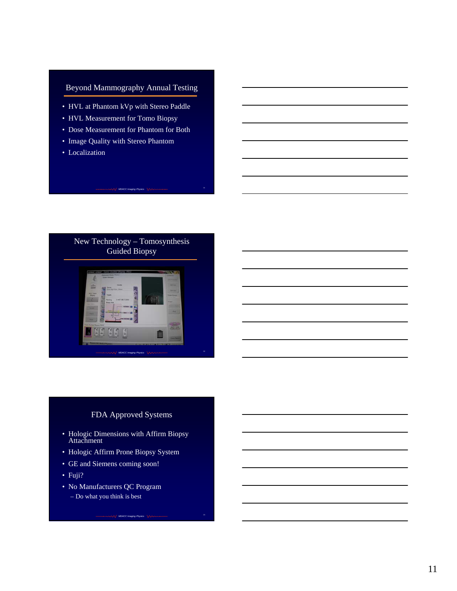# Beyond Mammography Annual Testing

- HVL at Phantom kVp with Stereo Paddle
- HVL Measurement for Tomo Biopsy
- Dose Measurement for Phantom for Both

**MDACC Imaging Physics**  $\sqrt{\sqrt{2}}$ 

- Image Quality with Stereo Phantom
- Localization



## FDA Approved Systems

**MDACC Imaging Physics** 33

- Hologic Dimensions with Affirm Biopsy Attachment
- Hologic Affirm Prone Biopsy System
- GE and Siemens coming soon!
- Fuji?
- No Manufacturers QC Program – Do what you think is best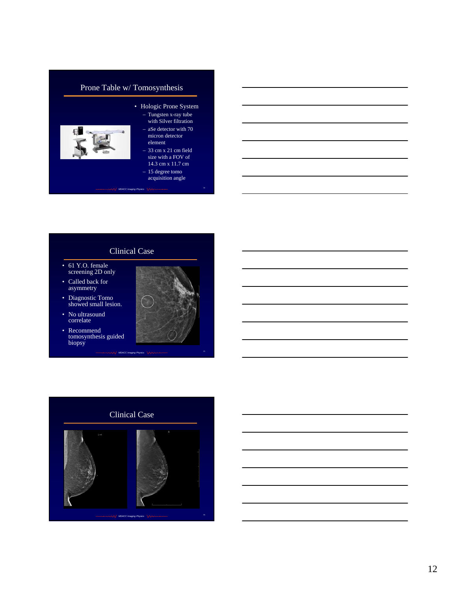# Prone Table w/ Tomosynthesis



#### • Hologic Prone System – Tungsten x-ray tube with Silver filtration

- aSe detector with 70 micron detector element
- 33 cm x 21 cm field size with a FOV of 14.3 cm x 11.7 cm
- 15 degree tomo
- **MDACC Imaging Physics**  $\sqrt{\sqrt{2}}$ acquisition angle

### Clinical Case

- 61 Y.O. female screening 2D only
- Called back for asymmetry
- Diagnostic Tomo showed small lesion.
- No ultrasound correlate
- Recommend tomosynthesis guided biopsy



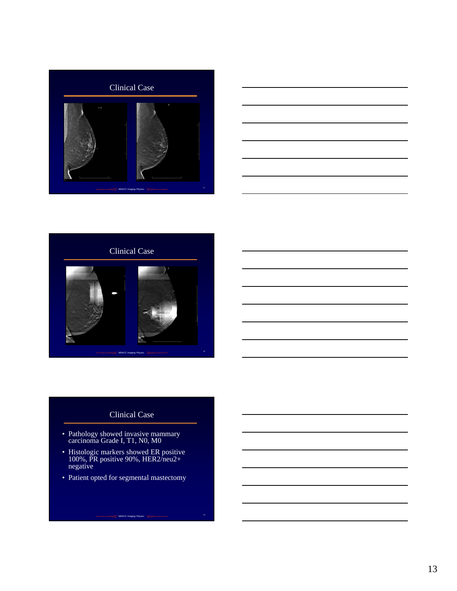





# Clinical Case

- Pathology showed invasive mammary carcinoma Grade I, T1, N0, M0
- Histologic markers showed ER positive 100%, PR positive 90%, HER2/neu2+ negative
- Patient opted for segmental mastectomy

**MDACC Imaging Physics** 39<br> **MDACC Imaging Physics** 39